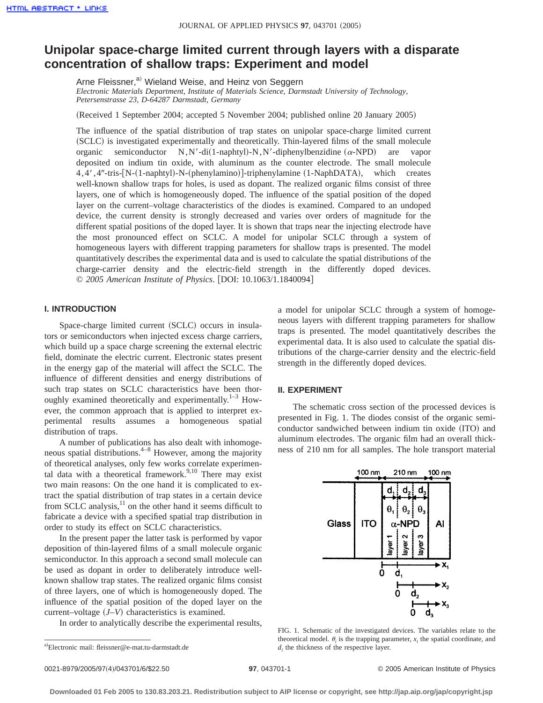# **Unipolar space-charge limited current through layers with a disparate concentration of shallow traps: Experiment and model**

Arne Fleissner,<sup>a)</sup> Wieland Weise, and Heinz von Seggern

*Electronic Materials Department, Institute of Materials Science, Darmstadt University of Technology, Petersenstrasse 23, D-64287 Darmstadt, Germany*

(Received 1 September 2004; accepted 5 November 2004; published online 20 January 2005)

The influence of the spatial distribution of trap states on unipolar space-charge limited current (SCLC) is investigated experimentally and theoretically. Thin-layered films of the small molecule organic semiconductor  $N, N'-di(1-naphtyl)-N, N'-diphenylbenzidine (\alpha-NPD)$  are vapor deposited on indium tin oxide, with aluminum as the counter electrode. The small molecule 4,4',4"-tris-[N-(1-naphtyl)-N-(phenylamino)]-triphenylamine (1-NaphDATA), which creates well-known shallow traps for holes, is used as dopant. The realized organic films consist of three layers, one of which is homogeneously doped. The influence of the spatial position of the doped layer on the current–voltage characteristics of the diodes is examined. Compared to an undoped device, the current density is strongly decreased and varies over orders of magnitude for the different spatial positions of the doped layer. It is shown that traps near the injecting electrode have the most pronounced effect on SCLC. A model for unipolar SCLC through a system of homogeneous layers with different trapping parameters for shallow traps is presented. The model quantitatively describes the experimental data and is used to calculate the spatial distributions of the charge-carrier density and the electric-field strength in the differently doped devices. © 2005 American Institute of Physics. [DOI: 10.1063/1.1840094]

## **I. INTRODUCTION**

Space-charge limited current (SCLC) occurs in insulators or semiconductors when injected excess charge carriers, which build up a space charge screening the external electric field, dominate the electric current. Electronic states present in the energy gap of the material will affect the SCLC. The influence of different densities and energy distributions of such trap states on SCLC characteristics have been thoroughly examined theoretically and experimentally.<sup>1–3</sup> However, the common approach that is applied to interpret experimental results assumes a homogeneous spatial distribution of traps.

A number of publications has also dealt with inhomogeneous spatial distributions. $4-8$  However, among the majority of theoretical analyses, only few works correlate experimental data with a theoretical framework.<sup>9,10</sup> There may exist two main reasons: On the one hand it is complicated to extract the spatial distribution of trap states in a certain device from SCLC analysis, $11$  on the other hand it seems difficult to fabricate a device with a specified spatial trap distribution in order to study its effect on SCLC characteristics.

In the present paper the latter task is performed by vapor deposition of thin-layered films of a small molecule organic semiconductor. In this approach a second small molecule can be used as dopant in order to deliberately introduce wellknown shallow trap states. The realized organic films consist of three layers, one of which is homogeneously doped. The influence of the spatial position of the doped layer on the current–voltage  $(J-V)$  characteristics is examined.

In order to analytically describe the experimental results,

a model for unipolar SCLC through a system of homogeneous layers with different trapping parameters for shallow traps is presented. The model quantitatively describes the experimental data. It is also used to calculate the spatial distributions of the charge-carrier density and the electric-field strength in the differently doped devices.

## **II. EXPERIMENT**

The schematic cross section of the processed devices is presented in Fig. 1. The diodes consist of the organic semiconductor sandwiched between indium tin oxide (ITO) and aluminum electrodes. The organic film had an overall thickness of 210 nm for all samples. The hole transport material



FIG. 1. Schematic of the investigated devices. The variables relate to the theoretical model.  $\theta_i$  is the trapping parameter,  $x_i$  the spatial coordinate, and *di* the thickness of the respective layer.

a)Electronic mail: fleissner@e-mat.tu-darmstadt.de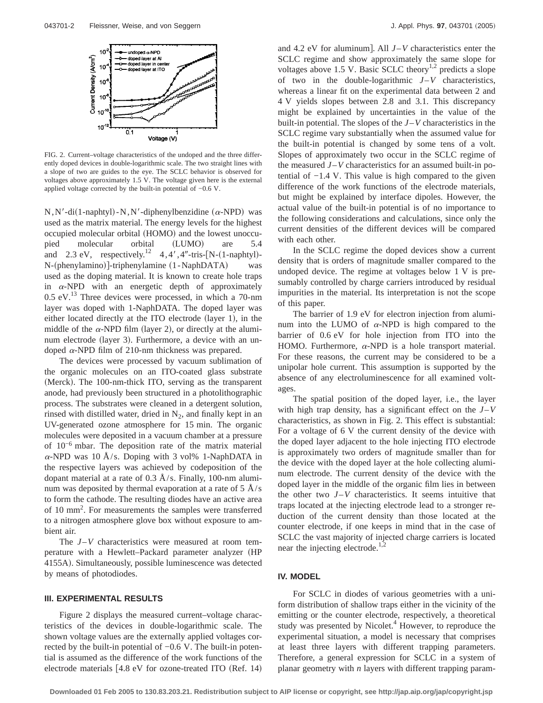

FIG. 2. Current–voltage characteristics of the undoped and the three differently doped devices in double-logarithmic scale. The two straight lines with a slope of two are guides to the eye. The SCLC behavior is observed for voltages above approximately 1.5 V. The voltage given here is the external applied voltage corrected by the built-in potential of −0.6 V.

N, N'-di(1-naphtyl)-N, N'-diphenylbenzidine  $(\alpha$ -NPD) was used as the matrix material. The energy levels for the highest occupied molecular orbital (HOMO) and the lowest unoccupied molecular orbital (LUMO) are 5.4 and 2.3 eV, respectively.<sup>12</sup> 4, 4', 4"-tris-[N- $(1$ -naphtyl]-N-(phenylamino)]-triphenylamine (1-NaphDATA) was used as the doping material. It is known to create hole traps in  $\alpha$ -NPD with an energetic depth of approximately  $0.5$  eV.<sup>13</sup> Three devices were processed, in which a 70-nm layer was doped with 1-NaphDATA. The doped layer was either located directly at the ITO electrode (layer 1), in the middle of the  $\alpha$ -NPD film (layer 2), or directly at the aluminum electrode (layer 3). Furthermore, a device with an undoped  $\alpha$ -NPD film of 210-nm thickness was prepared.

The devices were processed by vacuum sublimation of the organic molecules on an ITO-coated glass substrate (Merck). The 100-nm-thick ITO, serving as the transparent anode, had previously been structured in a photolithographic process. The substrates were cleaned in a detergent solution, rinsed with distilled water, dried in  $N_2$ , and finally kept in an UV-generated ozone atmosphere for 15 min. The organic molecules were deposited in a vacuum chamber at a pressure of 10−6 mbar. The deposition rate of the matrix material  $\alpha$ -NPD was 10 Å/s. Doping with 3 vol% 1-NaphDATA in the respective layers was achieved by codeposition of the dopant material at a rate of 0.3  $\AA$ /s. Finally, 100-nm aluminum was deposited by thermal evaporation at a rate of  $5 \text{ Å/s}$ to form the cathode. The resulting diodes have an active area of 10 mm2 . For measurements the samples were transferred to a nitrogen atmosphere glove box without exposure to ambient air.

The *J*–*V* characteristics were measured at room temperature with a Hewlett–Packard parameter analyzer (HP 4155A). Simultaneously, possible luminescence was detected by means of photodiodes.

## **III. EXPERIMENTAL RESULTS**

Figure 2 displays the measured current–voltage characteristics of the devices in double-logarithmic scale. The shown voltage values are the externally applied voltages corrected by the built-in potential of −0.6 V. The built-in potential is assumed as the difference of the work functions of the electrode materials  $[4.8 \text{ eV}$  for ozone-treated ITO (Ref. 14) and 4.2 eV for aluminum]. All  $J-V$  characteristics enter the SCLC regime and show approximately the same slope for voltages above 1.5 V. Basic SCLC theory<sup>1,2</sup> predicts a slope of two in the double-logarithmic *J*–*V* characteristics, whereas a linear fit on the experimental data between 2 and 4 V yields slopes between 2.8 and 3.1. This discrepancy might be explained by uncertainties in the value of the built-in potential. The slopes of the *J*–*V* characteristics in the SCLC regime vary substantially when the assumed value for the built-in potential is changed by some tens of a volt. Slopes of approximately two occur in the SCLC regime of the measured *J*–*V* characteristics for an assumed built-in potential of −1.4 V. This value is high compared to the given difference of the work functions of the electrode materials, but might be explained by interface dipoles. However, the actual value of the built-in potential is of no importance to the following considerations and calculations, since only the current densities of the different devices will be compared with each other.

In the SCLC regime the doped devices show a current density that is orders of magnitude smaller compared to the undoped device. The regime at voltages below 1 V is presumably controlled by charge carriers introduced by residual impurities in the material. Its interpretation is not the scope of this paper.

The barrier of 1.9 eV for electron injection from aluminum into the LUMO of  $\alpha$ -NPD is high compared to the barrier of 0.6 eV for hole injection from ITO into the HOMO. Furthermore,  $\alpha$ -NPD is a hole transport material. For these reasons, the current may be considered to be a unipolar hole current. This assumption is supported by the absence of any electroluminescence for all examined voltages.

The spatial position of the doped layer, i.e., the layer with high trap density, has a significant effect on the *J*–*V* characteristics, as shown in Fig. 2. This effect is substantial: For a voltage of 6 V the current density of the device with the doped layer adjacent to the hole injecting ITO electrode is approximately two orders of magnitude smaller than for the device with the doped layer at the hole collecting aluminum electrode. The current density of the device with the doped layer in the middle of the organic film lies in between the other two  $J-V$  characteristics. It seems intuitive that traps located at the injecting electrode lead to a stronger reduction of the current density than those located at the counter electrode, if one keeps in mind that in the case of SCLC the vast majority of injected charge carriers is located near the injecting electrode. $1,2$ 

## **IV. MODEL**

For SCLC in diodes of various geometries with a uniform distribution of shallow traps either in the vicinity of the emitting or the counter electrode, respectively, a theoretical study was presented by Nicolet.<sup>4</sup> However, to reproduce the experimental situation, a model is necessary that comprises at least three layers with different trapping parameters. Therefore, a general expression for SCLC in a system of planar geometry with *n* layers with different trapping param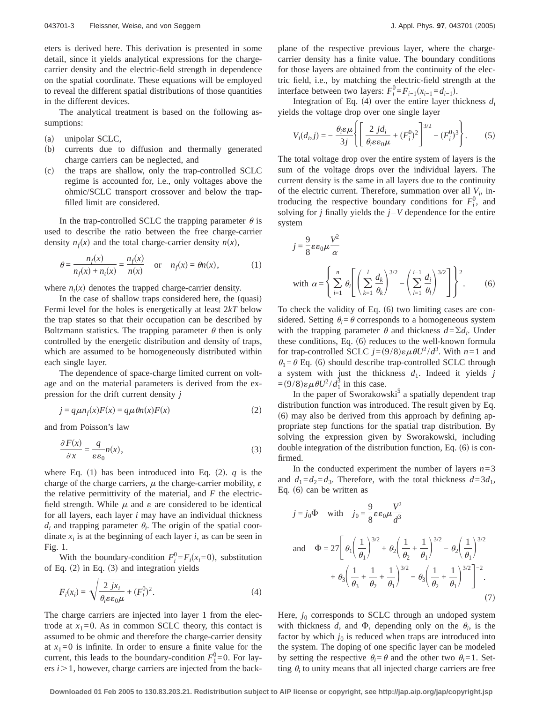eters is derived here. This derivation is presented in some detail, since it yields analytical expressions for the chargecarrier density and the electric-field strength in dependence on the spatial coordinate. These equations will be employed to reveal the different spatial distributions of those quantities in the different devices.

The analytical treatment is based on the following assumptions:

- $(a)$  unipolar SCLC,
- (b) currents due to diffusion and thermally generated charge carriers can be neglected, and
- (c) the traps are shallow, only the trap-controlled SCLC regime is accounted for, i.e., only voltages above the ohmic/SCLC transport crossover and below the trapfilled limit are considered.

In the trap-controlled SCLC the trapping parameter  $\theta$  is used to describe the ratio between the free charge-carrier density  $n_f(x)$  and the total charge-carrier density  $n(x)$ ,

$$
\theta = \frac{n_f(x)}{n_f(x) + n_f(x)} = \frac{n_f(x)}{n(x)} \quad \text{or} \quad n_f(x) = \theta n(x), \tag{1}
$$

where  $n_t(x)$  denotes the trapped charge-carrier density.

In the case of shallow traps considered here, the (quasi) Fermi level for the holes is energetically at least 2*kT* below the trap states so that their occupation can be described by Boltzmann statistics. The trapping parameter  $\theta$  then is only controlled by the energetic distribution and density of traps, which are assumed to be homogeneously distributed within each single layer.

The dependence of space-charge limited current on voltage and on the material parameters is derived from the expression for the drift current density *j*

$$
j = q\mu n_f(x)F(x) = q\mu \theta n(x)F(x)
$$
 (2)

and from Poisson's law

$$
\frac{\partial F(x)}{\partial x} = \frac{q}{\varepsilon \varepsilon_0} n(x),\tag{3}
$$

where Eq. (1) has been introduced into Eq. (2).  $q$  is the charge of the charge carriers,  $\mu$  the charge-carrier mobility,  $\varepsilon$ the relative permittivity of the material, and *F* the electricfield strength. While  $\mu$  and  $\varepsilon$  are considered to be identical for all layers, each layer *i* may have an individual thickness  $d_i$  and trapping parameter  $\theta_i$ . The origin of the spatial coordinate  $x_i$  is at the beginning of each layer  $i$ , as can be seen in Fig. 1.

With the boundary-condition  $F_i^0 = F_i(x_i=0)$ , substitution of Eq.  $(2)$  in Eq.  $(3)$  and integration yields

$$
F_i(x_i) = \sqrt{\frac{2 j x_i}{\theta_i \varepsilon \varepsilon_0 \mu} + (F_i^0)^2}.
$$
 (4)

The charge carriers are injected into layer 1 from the electrode at  $x_1=0$ . As in common SCLC theory, this contact is assumed to be ohmic and therefore the charge-carrier density at  $x_1=0$  is infinite. In order to ensure a finite value for the current, this leads to the boundary-condition  $F_1^0 = 0$ . For layers  $i > 1$ , however, charge carriers are injected from the backplane of the respective previous layer, where the chargecarrier density has a finite value. The boundary conditions for those layers are obtained from the continuity of the electric field, i.e., by matching the electric-field strength at the interface between two layers:  $F_i^0 = F_{i-1}(x_{i-1} = d_{i-1})$ .

Integration of Eq.  $(4)$  over the entire layer thickness  $d_i$ yields the voltage drop over one single layer

$$
V_i(d_i, j) = -\frac{\theta_i \varepsilon \mu}{3j} \left\{ \left[ \frac{2 \, j d_i}{\theta_i \varepsilon \varepsilon_0 \mu} + (F_i^0)^2 \right]^{3/2} - (F_i^0)^3 \right\}.
$$
 (5)

The total voltage drop over the entire system of layers is the sum of the voltage drops over the individual layers. The current density is the same in all layers due to the continuity of the electric current. Therefore, summation over all  $V_i$ , introducing the respective boundary conditions for  $F_i^0$ , and solving for  $j$  finally yields the  $j - V$  dependence for the entire system

$$
j = \frac{9}{8} \varepsilon \varepsilon_0 \mu \frac{V^2}{\alpha}
$$
  
with  $\alpha = \left\{ \sum_{i=1}^n \theta_i \left[ \left( \sum_{k=1}^l \frac{d_k}{\theta_k} \right)^{3/2} - \left( \sum_{l=1}^{i-1} \frac{d_l}{\theta_l} \right)^{3/2} \right] \right\}^2$ . (6)

To check the validity of Eq.  $(6)$  two limiting cases are considered. Setting  $\theta_i = \theta$  corresponds to a homogeneous system with the trapping parameter  $\theta$  and thickness  $d = \sum d_i$ . Under these conditions, Eq.  $(6)$  reduces to the well-known formula for trap-controlled SCLC  $j = (9/8)\varepsilon \mu \theta U^2 / d^3$ . With  $n=1$  and  $\theta_1 = \theta$  Eq. (6) should describe trap-controlled SCLC through a system with just the thickness  $d_1$ . Indeed it yields *j*  $=(9/8)\varepsilon \mu \theta U^2 / d_1^3$  in this case.

In the paper of Sworakowski<sup>5</sup> a spatially dependent trap distribution function was introduced. The result given by Eq.  $(6)$  may also be derived from this approach by defining appropriate step functions for the spatial trap distribution. By solving the expression given by Sworakowski, including double integration of the distribution function, Eq.  $(6)$  is confirmed.

In the conducted experiment the number of layers  $n=3$ and  $d_1 = d_2 = d_3$ . Therefore, with the total thickness  $d = 3d_1$ , Eq.  $(6)$  can be written as

$$
j = j_0 \Phi \quad \text{with} \quad j_0 = \frac{9}{8} \varepsilon \varepsilon_0 \mu \frac{V^2}{d^3}
$$
  
and 
$$
\Phi = 27 \left[ \theta_1 \left( \frac{1}{\theta_1} \right)^{3/2} + \theta_2 \left( \frac{1}{\theta_2} + \frac{1}{\theta_1} \right)^{3/2} - \theta_2 \left( \frac{1}{\theta_1} \right)^{3/2} + \theta_3 \left( \frac{1}{\theta_3} + \frac{1}{\theta_2} + \frac{1}{\theta_1} \right)^{3/2} - \theta_3 \left( \frac{1}{\theta_2} + \frac{1}{\theta_1} \right)^{3/2} \right]^{-2}.
$$

$$
(7)
$$

Here,  $j_0$  corresponds to SCLC through an undoped system with thickness  $d$ , and  $\Phi$ , depending only on the  $\theta_i$ , is the factor by which  $j_0$  is reduced when traps are introduced into the system. The doping of one specific layer can be modeled by setting the respective  $\theta_i = \theta$  and the other two  $\theta_i = 1$ . Setting  $\theta_i$  to unity means that all injected charge carriers are free

**Downloaded 01 Feb 2005 to 130.83.203.21. Redistribution subject to AIP license or copyright, see http://jap.aip.org/jap/copyright.jsp**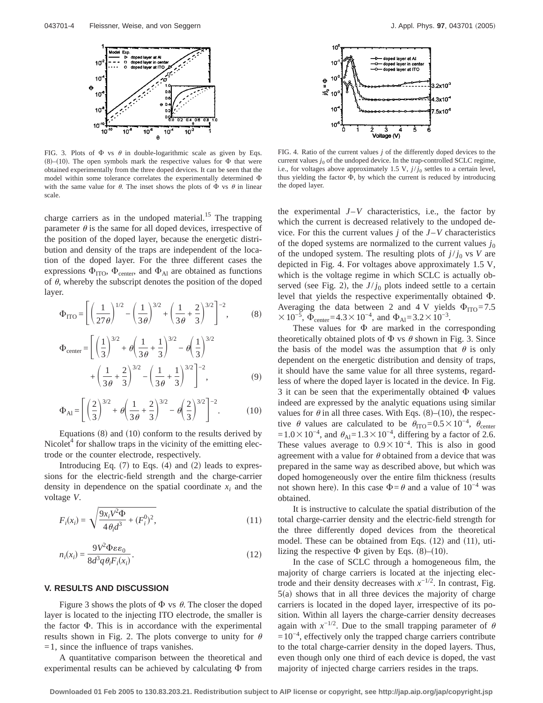

FIG. 3. Plots of  $\Phi$  vs  $\theta$  in double-logarithmic scale as given by Eqs.  $(8)$ – $(10)$ . The open symbols mark the respective values for  $\Phi$  that were obtained experimentally from the three doped devices. It can be seen that the model within some tolerance correlates the experimentally determined  $\Phi$ with the same value for  $\theta$ . The inset shows the plots of  $\Phi$  vs  $\theta$  in linear scale.

charge carriers as in the undoped material.<sup>15</sup> The trapping parameter  $\theta$  is the same for all doped devices, irrespective of the position of the doped layer, because the energetic distribution and density of the traps are independent of the location of the doped layer. For the three different cases the expressions  $\Phi_{\text{ITO}}$ ,  $\Phi_{\text{center}}$ , and  $\Phi_{\text{Al}}$  are obtained as functions of  $\theta$ , whereby the subscript denotes the position of the doped layer.

$$
\Phi_{\rm ITO} = \left[ \left( \frac{1}{27\theta} \right)^{1/2} - \left( \frac{1}{3\theta} \right)^{3/2} + \left( \frac{1}{3\theta} + \frac{2}{3} \right)^{3/2} \right]^{-2},\tag{8}
$$

$$
\Phi_{\text{center}} = \left[ \left( \frac{1}{3} \right)^{3/2} + \theta \left( \frac{1}{3\theta} + \frac{1}{3} \right)^{3/2} - \theta \left( \frac{1}{3} \right)^{3/2} + \left( \frac{1}{3\theta} + \frac{2}{3} \right)^{3/2} - \left( \frac{1}{3\theta} + \frac{1}{3} \right)^{3/2} \right]^{-2}, \tag{9}
$$

$$
\Phi_{\rm Al} = \left[ \left( \frac{2}{3} \right)^{3/2} + \theta \left( \frac{1}{3\theta} + \frac{2}{3} \right)^{3/2} - \theta \left( \frac{2}{3} \right)^{3/2} \right]^{-2} . \tag{10}
$$

Equations  $(8)$  and  $(10)$  conform to the results derived by Nicolet<sup>4</sup> for shallow traps in the vicinity of the emitting electrode or the counter electrode, respectively.

Introducing Eq.  $(7)$  to Eqs.  $(4)$  and  $(2)$  leads to expressions for the electric-field strength and the charge-carrier density in dependence on the spatial coordinate  $x_i$  and the voltage *V*.

$$
F_i(x_i) = \sqrt{\frac{9x_i V^2 \Phi}{4\theta_i d^3} + (F_i^0)^2},\tag{11}
$$

$$
n_i(x_i) = \frac{9V^2\Phi\epsilon\epsilon_0}{8d^3q\theta_iF_i(x_i)}.
$$
\n(12)

## **V. RESULTS AND DISCUSSION**

Figure 3 shows the plots of  $\Phi$  vs  $\theta$ . The closer the doped layer is located to the injecting ITO electrode, the smaller is the factor  $\Phi$ . This is in accordance with the experimental results shown in Fig. 2. The plots converge to unity for  $\theta$  $=1$ , since the influence of traps vanishes.

A quantitative comparison between the theoretical and experimental results can be achieved by calculating  $\Phi$  from



FIG. 4. Ratio of the current values *j* of the differently doped devices to the current values  $j_0$  of the undoped device. In the trap-controlled SCLC regime, i.e., for voltages above approximately 1.5 V,  $j/j_0$  settles to a certain level, thus yielding the factor  $\Phi$ , by which the current is reduced by introducing the doped layer.

the experimental  $J-V$  characteristics, i.e., the factor by which the current is decreased relatively to the undoped device. For this the current values  $j$  of the  $J-V$  characteristics of the doped systems are normalized to the current values  $j_0$ of the undoped system. The resulting plots of  $j/j_0$  vs *V* are depicted in Fig. 4. For voltages above approximately 1.5 V, which is the voltage regime in which SCLC is actually observed (see Fig. 2), the  $J/j_0$  plots indeed settle to a certain level that yields the respective experimentally obtained  $\Phi$ . Averaging the data between 2 and 4 V yields  $\Phi_{\text{ITO}} = 7.5$  $\times$ 10<sup>-5</sup>,  $\Phi_{\text{center}}$ =4.3 $\times$ 10<sup>-4</sup>, and  $\Phi_{\text{Al}}$ =3.2 $\times$ 10<sup>-3</sup>.

These values for  $\Phi$  are marked in the corresponding theoretically obtained plots of  $\Phi$  vs  $\theta$  shown in Fig. 3. Since the basis of the model was the assumption that  $\theta$  is only dependent on the energetic distribution and density of traps, it should have the same value for all three systems, regardless of where the doped layer is located in the device. In Fig. 3 it can be seen that the experimentally obtained  $\Phi$  values indeed are expressed by the analytic equations using similar values for  $\theta$  in all three cases. With Eqs. (8)–(10), the respective  $\theta$  values are calculated to be  $\theta_{\text{ITO}}=0.5\times10^{-4}$ ,  $\theta_{\text{center}}$ =1.0 × 10<sup>-4</sup>, and  $\theta_{\text{Al}}$ =1.3 × 10<sup>-4</sup>, differing by a factor of 2.6. These values average to  $0.9 \times 10^{-4}$ . This is also in good agreement with a value for  $\theta$  obtained from a device that was prepared in the same way as described above, but which was doped homogeneously over the entire film thickness (results not shown here). In this case  $\Phi = \theta$  and a value of 10<sup>-4</sup> was obtained.

It is instructive to calculate the spatial distribution of the total charge-carrier density and the electric-field strength for the three differently doped devices from the theoretical model. These can be obtained from Eqs.  $(12)$  and  $(11)$ , utilizing the respective  $\Phi$  given by Eqs. (8)–(10).

In the case of SCLC through a homogeneous film, the majority of charge carriers is located at the injecting electrode and their density decreases with  $x^{-1/2}$ . In contrast, Fig.  $5(a)$  shows that in all three devices the majority of charge carriers is located in the doped layer, irrespective of its position. Within all layers the charge-carrier density decreases again with  $x^{-1/2}$ . Due to the small trapping parameter of  $\theta$  $=10^{-4}$ , effectively only the trapped charge carriers contribute to the total charge-carrier density in the doped layers. Thus, even though only one third of each device is doped, the vast majority of injected charge carriers resides in the traps.

**Downloaded 01 Feb 2005 to 130.83.203.21. Redistribution subject to AIP license or copyright, see http://jap.aip.org/jap/copyright.jsp**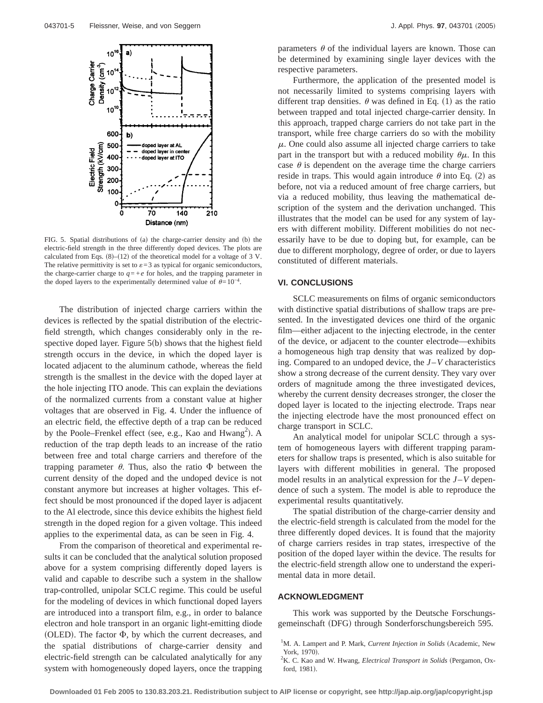

FIG. 5. Spatial distributions of (a) the charge-carrier density and (b) the electric-field strength in the three differently doped devices. The plots are calculated from Eqs.  $(8)$ – $(12)$  of the theoretical model for a voltage of 3 V. The relative permittivity is set to  $\varepsilon = 3$  as typical for organic semiconductors, the charge-carrier charge to  $q = +e$  for holes, and the trapping parameter in the doped layers to the experimentally determined value of  $\theta=10^{-4}$ .

The distribution of injected charge carriers within the devices is reflected by the spatial distribution of the electricfield strength, which changes considerably only in the respective doped layer. Figure  $5(b)$  shows that the highest field strength occurs in the device, in which the doped layer is located adjacent to the aluminum cathode, whereas the field strength is the smallest in the device with the doped layer at the hole injecting ITO anode. This can explain the deviations of the normalized currents from a constant value at higher voltages that are observed in Fig. 4. Under the influence of an electric field, the effective depth of a trap can be reduced by the Poole–Frenkel effect (see, e.g., Kao and Hwang<sup>2</sup>). A reduction of the trap depth leads to an increase of the ratio between free and total charge carriers and therefore of the trapping parameter  $\theta$ . Thus, also the ratio  $\Phi$  between the current density of the doped and the undoped device is not constant anymore but increases at higher voltages. This effect should be most pronounced if the doped layer is adjacent to the Al electrode, since this device exhibits the highest field strength in the doped region for a given voltage. This indeed applies to the experimental data, as can be seen in Fig. 4.

From the comparison of theoretical and experimental results it can be concluded that the analytical solution proposed above for a system comprising differently doped layers is valid and capable to describe such a system in the shallow trap-controlled, unipolar SCLC regime. This could be useful for the modeling of devices in which functional doped layers are introduced into a transport film, e.g., in order to balance electron and hole transport in an organic light-emitting diode (OLED). The factor  $\Phi$ , by which the current decreases, and the spatial distributions of charge-carrier density and electric-field strength can be calculated analytically for any system with homogeneously doped layers, once the trapping parameters  $\theta$  of the individual layers are known. Those can be determined by examining single layer devices with the respective parameters.

Furthermore, the application of the presented model is not necessarily limited to systems comprising layers with different trap densities.  $\theta$  was defined in Eq. (1) as the ratio between trapped and total injected charge-carrier density. In this approach, trapped charge carriers do not take part in the transport, while free charge carriers do so with the mobility  $\mu$ . One could also assume all injected charge carriers to take part in the transport but with a reduced mobility  $\theta\mu$ . In this case  $\theta$  is dependent on the average time the charge carriers reside in traps. This would again introduce  $\theta$  into Eq. (2) as before, not via a reduced amount of free charge carriers, but via a reduced mobility, thus leaving the mathematical description of the system and the derivation unchanged. This illustrates that the model can be used for any system of layers with different mobility. Different mobilities do not necessarily have to be due to doping but, for example, can be due to different morphology, degree of order, or due to layers constituted of different materials.

## **VI. CONCLUSIONS**

SCLC measurements on films of organic semiconductors with distinctive spatial distributions of shallow traps are presented. In the investigated devices one third of the organic film—either adjacent to the injecting electrode, in the center of the device, or adjacent to the counter electrode—exhibits a homogeneous high trap density that was realized by doping. Compared to an undoped device, the *J*–*V* characteristics show a strong decrease of the current density. They vary over orders of magnitude among the three investigated devices, whereby the current density decreases stronger, the closer the doped layer is located to the injecting electrode. Traps near the injecting electrode have the most pronounced effect on charge transport in SCLC.

An analytical model for unipolar SCLC through a system of homogeneous layers with different trapping parameters for shallow traps is presented, which is also suitable for layers with different mobilities in general. The proposed model results in an analytical expression for the *J*–*V* dependence of such a system. The model is able to reproduce the experimental results quantitatively.

The spatial distribution of the charge-carrier density and the electric-field strength is calculated from the model for the three differently doped devices. It is found that the majority of charge carriers resides in trap states, irrespective of the position of the doped layer within the device. The results for the electric-field strength allow one to understand the experimental data in more detail.

## **ACKNOWLEDGMENT**

This work was supported by the Deutsche Forschungsgemeinschaft (DFG) through Sonderforschungsbereich 595.

<sup>&</sup>lt;sup>1</sup>M. A. Lampert and P. Mark, *Current Injection in Solids* (Academic, New York, 1970).

<sup>&</sup>lt;sup>2</sup>K. C. Kao and W. Hwang, *Electrical Transport in Solids* (Pergamon, Oxford,  $1981$ .